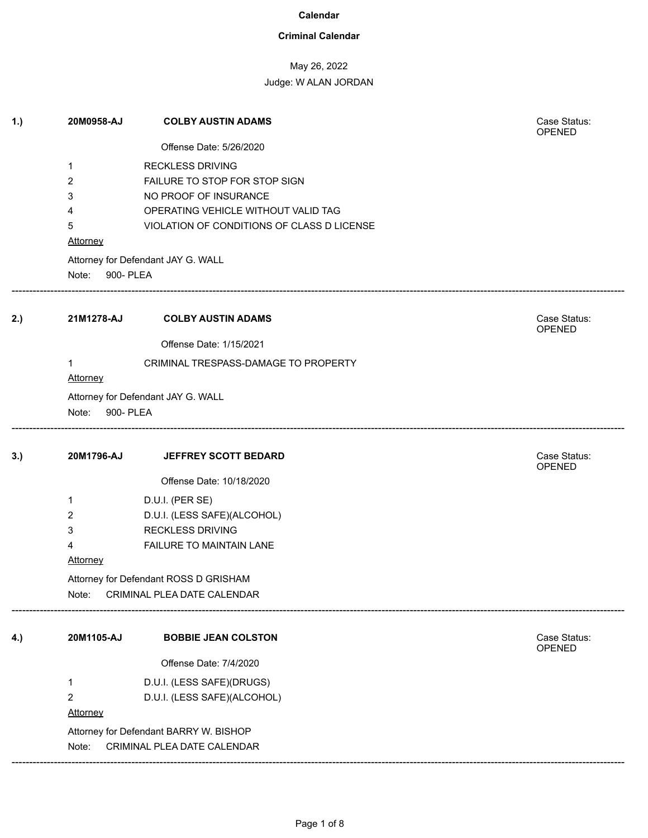## **Criminal Calendar**

# May 26, 2022

| 1.) | 20M0958-AJ                             | <b>COLBY AUSTIN ADAMS</b>                  | Case Status:<br>OPENED        |  |  |
|-----|----------------------------------------|--------------------------------------------|-------------------------------|--|--|
|     |                                        | Offense Date: 5/26/2020                    |                               |  |  |
|     | 1                                      | <b>RECKLESS DRIVING</b>                    |                               |  |  |
|     | 2                                      | FAILURE TO STOP FOR STOP SIGN              |                               |  |  |
|     | 3                                      | NO PROOF OF INSURANCE                      |                               |  |  |
|     | 4                                      | OPERATING VEHICLE WITHOUT VALID TAG        |                               |  |  |
|     | 5                                      | VIOLATION OF CONDITIONS OF CLASS D LICENSE |                               |  |  |
|     | Attorney                               |                                            |                               |  |  |
|     |                                        | Attorney for Defendant JAY G. WALL         |                               |  |  |
|     | Note: 900- PLEA                        |                                            |                               |  |  |
| 2.) | 21M1278-AJ                             | <b>COLBY AUSTIN ADAMS</b>                  | Case Status:<br>OPENED        |  |  |
|     |                                        | Offense Date: 1/15/2021                    |                               |  |  |
|     | 1                                      | CRIMINAL TRESPASS-DAMAGE TO PROPERTY       |                               |  |  |
|     | Attorney                               |                                            |                               |  |  |
|     |                                        | Attorney for Defendant JAY G. WALL         |                               |  |  |
|     | Note: 900- PLEA                        |                                            |                               |  |  |
|     |                                        |                                            |                               |  |  |
| 3.) | 20M1796-AJ                             | <b>JEFFREY SCOTT BEDARD</b>                | Case Status:<br><b>OPENED</b> |  |  |
|     |                                        | Offense Date: 10/18/2020                   |                               |  |  |
|     | 1                                      | D.U.I. (PER SE)                            |                               |  |  |
|     | 2                                      | D.U.I. (LESS SAFE)(ALCOHOL)                |                               |  |  |
|     | 3                                      | <b>RECKLESS DRIVING</b>                    |                               |  |  |
|     | 4                                      | FAILURE TO MAINTAIN LANE                   |                               |  |  |
|     | <b>Attorney</b>                        |                                            |                               |  |  |
|     | Attorney for Defendant ROSS D GRISHAM  |                                            |                               |  |  |
|     | CRIMINAL PLEA DATE CALENDAR<br>Note:   |                                            |                               |  |  |
| 4.) | 20M1105-AJ                             | <b>BOBBIE JEAN COLSTON</b>                 | Case Status:                  |  |  |
|     |                                        |                                            | OPENED                        |  |  |
|     |                                        | Offense Date: 7/4/2020                     |                               |  |  |
|     | 1                                      | D.U.I. (LESS SAFE)(DRUGS)                  |                               |  |  |
|     | 2                                      | D.U.I. (LESS SAFE)(ALCOHOL)                |                               |  |  |
|     | <b>Attorney</b>                        |                                            |                               |  |  |
|     | Attorney for Defendant BARRY W. BISHOP |                                            |                               |  |  |
|     | Note:                                  | CRIMINAL PLEA DATE CALENDAR                |                               |  |  |
|     |                                        |                                            |                               |  |  |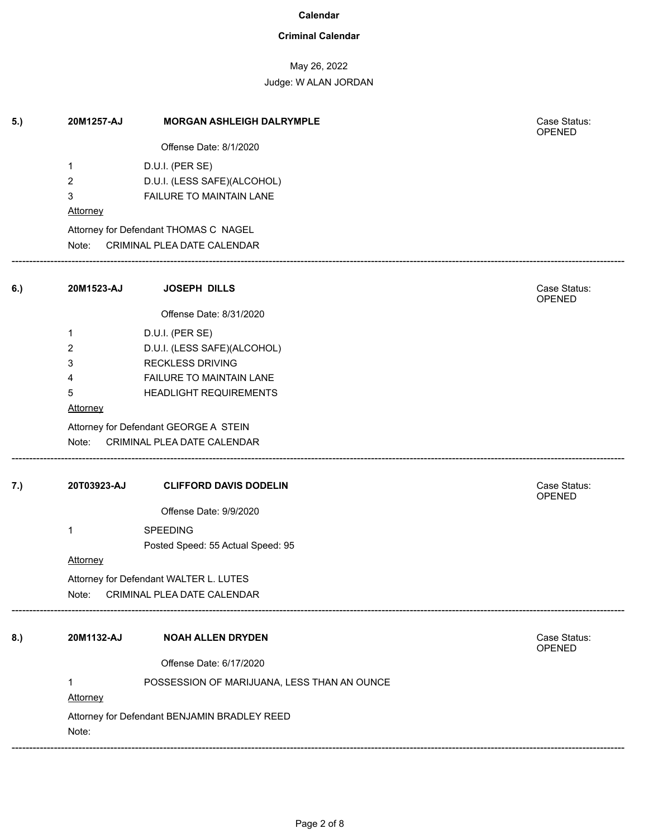## **Criminal Calendar**

## May 26, 2022

| 5.) | 20M1257-AJ                                            | <b>MORGAN ASHLEIGH DALRYMPLE</b>            | Case Status:<br>OPENED |  |  |
|-----|-------------------------------------------------------|---------------------------------------------|------------------------|--|--|
|     |                                                       | Offense Date: 8/1/2020                      |                        |  |  |
|     | 1                                                     | D.U.I. (PER SE)                             |                        |  |  |
|     | $\overline{2}$                                        | D.U.I. (LESS SAFE)(ALCOHOL)                 |                        |  |  |
|     | 3                                                     | FAILURE TO MAINTAIN LANE                    |                        |  |  |
|     | Attorney                                              |                                             |                        |  |  |
|     |                                                       | Attorney for Defendant THOMAS C NAGEL       |                        |  |  |
|     | Note:                                                 | CRIMINAL PLEA DATE CALENDAR                 |                        |  |  |
| 6.) | 20M1523-AJ                                            | <b>JOSEPH DILLS</b>                         | Case Status:<br>OPENED |  |  |
|     |                                                       | Offense Date: 8/31/2020                     |                        |  |  |
|     | 1                                                     | D.U.I. (PER SE)                             |                        |  |  |
|     | 2                                                     | D.U.I. (LESS SAFE)(ALCOHOL)                 |                        |  |  |
|     | 3                                                     | <b>RECKLESS DRIVING</b>                     |                        |  |  |
|     | 4                                                     | FAILURE TO MAINTAIN LANE                    |                        |  |  |
|     | 5                                                     | HEADLIGHT REQUIREMENTS                      |                        |  |  |
|     | Attorney                                              |                                             |                        |  |  |
|     | Attorney for Defendant GEORGE A STEIN                 |                                             |                        |  |  |
|     | Note:                                                 | CRIMINAL PLEA DATE CALENDAR                 |                        |  |  |
| 7.) | 20T03923-AJ                                           | <b>CLIFFORD DAVIS DODELIN</b>               | Case Status:<br>OPENED |  |  |
|     |                                                       | Offense Date: 9/9/2020                      |                        |  |  |
|     | 1                                                     | <b>SPEEDING</b>                             |                        |  |  |
|     |                                                       | Posted Speed: 55 Actual Speed: 95           |                        |  |  |
|     | Attorney                                              |                                             |                        |  |  |
|     |                                                       | Attorney for Defendant WALTER L. LUTES      |                        |  |  |
|     | CRIMINAL PLEA DATE CALENDAR<br>Note:                  |                                             |                        |  |  |
| 8.) | 20M1132-AJ                                            | <b>NOAH ALLEN DRYDEN</b>                    | Case Status:           |  |  |
|     |                                                       |                                             | OPENED                 |  |  |
|     |                                                       | Offense Date: 6/17/2020                     |                        |  |  |
|     | $\mathbf{1}$                                          | POSSESSION OF MARIJUANA, LESS THAN AN OUNCE |                        |  |  |
|     | Attorney                                              |                                             |                        |  |  |
|     | Attorney for Defendant BENJAMIN BRADLEY REED<br>Note: |                                             |                        |  |  |
|     |                                                       |                                             |                        |  |  |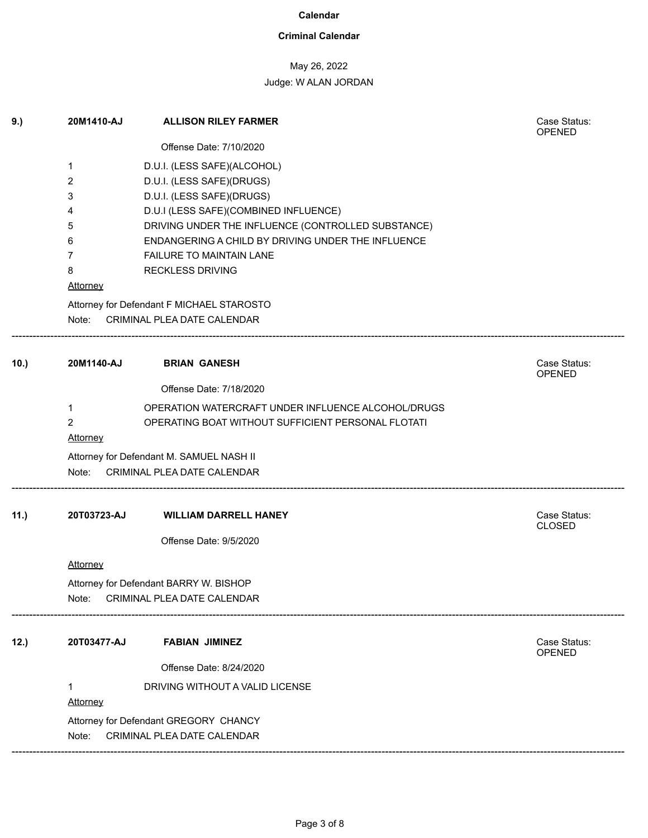## **Criminal Calendar**

## May 26, 2022

| 9.)  | 20M1410-AJ                             | <b>ALLISON RILEY FARMER</b>                                                                              | Case Status:<br><b>OPENED</b> |  |  |
|------|----------------------------------------|----------------------------------------------------------------------------------------------------------|-------------------------------|--|--|
|      |                                        | Offense Date: 7/10/2020                                                                                  |                               |  |  |
|      | 1                                      | D.U.I. (LESS SAFE)(ALCOHOL)                                                                              |                               |  |  |
|      | 2                                      | D.U.I. (LESS SAFE)(DRUGS)                                                                                |                               |  |  |
|      | 3                                      | D.U.I. (LESS SAFE)(DRUGS)                                                                                |                               |  |  |
|      | 4                                      | D.U.I (LESS SAFE)(COMBINED INFLUENCE)                                                                    |                               |  |  |
|      | 5<br>6                                 | DRIVING UNDER THE INFLUENCE (CONTROLLED SUBSTANCE)<br>ENDANGERING A CHILD BY DRIVING UNDER THE INFLUENCE |                               |  |  |
|      | 7                                      | <b>FAILURE TO MAINTAIN LANE</b>                                                                          |                               |  |  |
|      | 8                                      | <b>RECKLESS DRIVING</b>                                                                                  |                               |  |  |
|      | <b>Attorney</b>                        |                                                                                                          |                               |  |  |
|      |                                        | Attorney for Defendant F MICHAEL STAROSTO                                                                |                               |  |  |
|      |                                        | Note: CRIMINAL PLEA DATE CALENDAR                                                                        |                               |  |  |
| 10.) | 20M1140-AJ                             | <b>BRIAN GANESH</b>                                                                                      | Case Status:<br><b>OPENED</b> |  |  |
|      |                                        | Offense Date: 7/18/2020                                                                                  |                               |  |  |
|      | 1                                      | OPERATION WATERCRAFT UNDER INFLUENCE ALCOHOL/DRUGS                                                       |                               |  |  |
|      | 2                                      | OPERATING BOAT WITHOUT SUFFICIENT PERSONAL FLOTATI                                                       |                               |  |  |
|      | <b>Attorney</b>                        |                                                                                                          |                               |  |  |
|      |                                        | Attorney for Defendant M. SAMUEL NASH II                                                                 |                               |  |  |
|      | Note:                                  | CRIMINAL PLEA DATE CALENDAR                                                                              |                               |  |  |
| 11.) | 20T03723-AJ                            | <b>WILLIAM DARRELL HANEY</b>                                                                             | Case Status:<br><b>CLOSED</b> |  |  |
|      |                                        | Offense Date: 9/5/2020                                                                                   |                               |  |  |
|      | <b>Attorney</b>                        |                                                                                                          |                               |  |  |
|      | Attorney for Defendant BARRY W. BISHOP |                                                                                                          |                               |  |  |
|      | Note:                                  | CRIMINAL PLEA DATE CALENDAR                                                                              |                               |  |  |
| 12.) | 20T03477-AJ                            | <b>FABIAN JIMINEZ</b>                                                                                    | Case Status:                  |  |  |
|      |                                        |                                                                                                          | OPENED                        |  |  |
|      |                                        | Offense Date: 8/24/2020                                                                                  |                               |  |  |
|      | 1                                      | DRIVING WITHOUT A VALID LICENSE                                                                          |                               |  |  |
|      | Attorney                               |                                                                                                          |                               |  |  |
|      |                                        | Attorney for Defendant GREGORY CHANCY                                                                    |                               |  |  |
|      | Note:                                  | CRIMINAL PLEA DATE CALENDAR                                                                              |                               |  |  |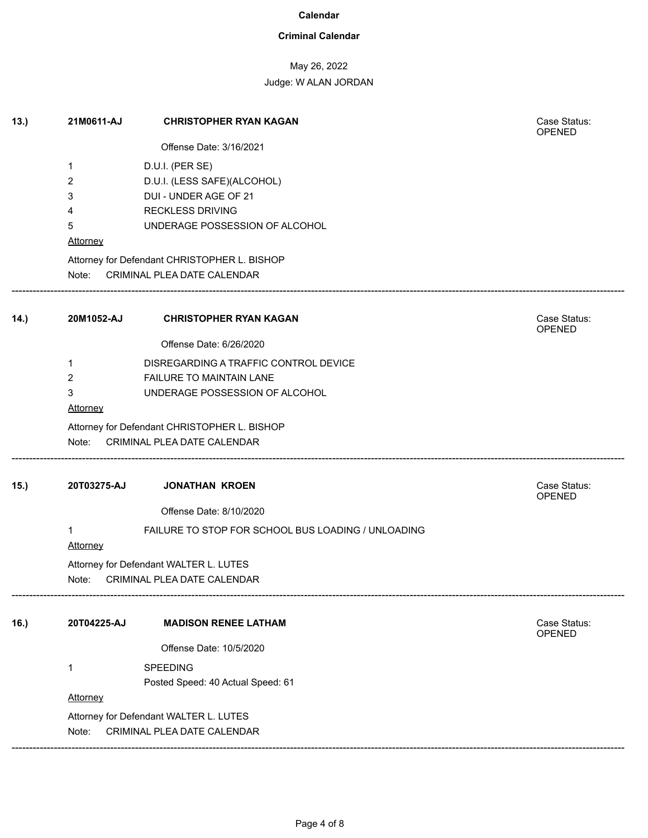## **Criminal Calendar**

### May 26, 2022

## Judge: W ALAN JORDAN

| 13.  | 21M0611-AJ                             | <b>CHRISTOPHER RYAN KAGAN</b>                      | Case Status:<br><b>OPENED</b> |  |  |
|------|----------------------------------------|----------------------------------------------------|-------------------------------|--|--|
|      |                                        | Offense Date: 3/16/2021                            |                               |  |  |
|      | 1                                      | D.U.I. (PER SE)                                    |                               |  |  |
|      | 2                                      | D.U.I. (LESS SAFE)(ALCOHOL)                        |                               |  |  |
|      | 3                                      | DUI - UNDER AGE OF 21                              |                               |  |  |
|      | 4                                      | <b>RECKLESS DRIVING</b>                            |                               |  |  |
|      | 5                                      | UNDERAGE POSSESSION OF ALCOHOL                     |                               |  |  |
|      | Attorney                               |                                                    |                               |  |  |
|      |                                        | Attorney for Defendant CHRISTOPHER L. BISHOP       |                               |  |  |
|      | Note:                                  | CRIMINAL PLEA DATE CALENDAR                        |                               |  |  |
| 14.) | 20M1052-AJ                             | <b>CHRISTOPHER RYAN KAGAN</b>                      | Case Status:<br><b>OPENED</b> |  |  |
|      |                                        | Offense Date: 6/26/2020                            |                               |  |  |
|      | $\mathbf 1$                            | DISREGARDING A TRAFFIC CONTROL DEVICE              |                               |  |  |
|      | $\overline{2}$                         | FAILURE TO MAINTAIN LANE                           |                               |  |  |
|      | 3                                      | UNDERAGE POSSESSION OF ALCOHOL                     |                               |  |  |
|      | Attorney                               |                                                    |                               |  |  |
|      |                                        | Attorney for Defendant CHRISTOPHER L. BISHOP       |                               |  |  |
|      | Note:                                  | CRIMINAL PLEA DATE CALENDAR                        |                               |  |  |
| 15.  | 20T03275-AJ                            | <b>JONATHAN KROEN</b>                              | Case Status:<br><b>OPENED</b> |  |  |
|      |                                        | Offense Date: 8/10/2020                            |                               |  |  |
|      | 1<br><b>Attorney</b>                   | FAILURE TO STOP FOR SCHOOL BUS LOADING / UNLOADING |                               |  |  |
|      | Attorney for Defendant WALTER L. LUTES |                                                    |                               |  |  |
|      | CRIMINAL PLEA DATE CALENDAR<br>Note:   |                                                    |                               |  |  |
| 16.) | 20T04225-AJ                            | <b>MADISON RENEE LATHAM</b>                        | Case Status:<br><b>OPENED</b> |  |  |
|      |                                        | Offense Date: 10/5/2020                            |                               |  |  |
|      | 1                                      | SPEEDING                                           |                               |  |  |
|      |                                        | Posted Speed: 40 Actual Speed: 61                  |                               |  |  |
|      | Attorney                               |                                                    |                               |  |  |
|      |                                        | Attorney for Defendant WALTER L. LUTES             |                               |  |  |
|      | Note:                                  | CRIMINAL PLEA DATE CALENDAR                        |                               |  |  |
|      |                                        |                                                    |                               |  |  |

------------------------------------------------------------------------------------------------------------------------------------------------------------------------------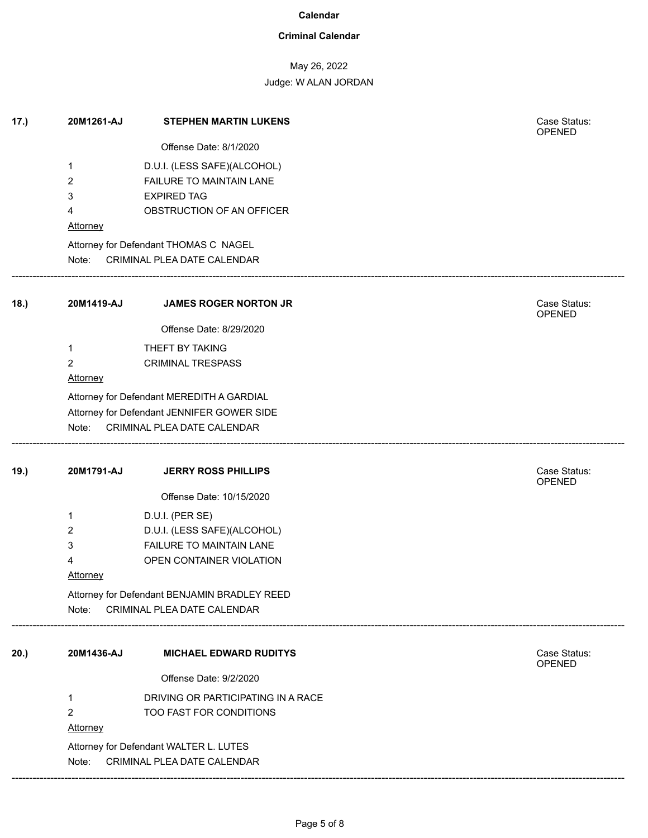## **Criminal Calendar**

# May 26, 2022

Judge: W ALAN JORDAN

| 17.) | 20M1261-AJ                                   | <b>STEPHEN MARTIN LUKENS</b>               | Case Status:<br>OPENED        |  |  |  |
|------|----------------------------------------------|--------------------------------------------|-------------------------------|--|--|--|
|      |                                              | Offense Date: 8/1/2020                     |                               |  |  |  |
|      | 1                                            | D.U.I. (LESS SAFE)(ALCOHOL)                |                               |  |  |  |
|      | 2                                            | FAILURE TO MAINTAIN LANE                   |                               |  |  |  |
|      | 3                                            | <b>EXPIRED TAG</b>                         |                               |  |  |  |
|      | 4                                            | OBSTRUCTION OF AN OFFICER                  |                               |  |  |  |
|      | Attorney                                     |                                            |                               |  |  |  |
|      |                                              | Attorney for Defendant THOMAS C NAGEL      |                               |  |  |  |
|      | Note:                                        | CRIMINAL PLEA DATE CALENDAR                |                               |  |  |  |
| 18.) | 20M1419-AJ                                   | <b>JAMES ROGER NORTON JR</b>               | Case Status:<br><b>OPENED</b> |  |  |  |
|      |                                              | Offense Date: 8/29/2020                    |                               |  |  |  |
|      | 1                                            | THEFT BY TAKING                            |                               |  |  |  |
|      | 2                                            | <b>CRIMINAL TRESPASS</b>                   |                               |  |  |  |
|      | Attorney                                     |                                            |                               |  |  |  |
|      |                                              | Attorney for Defendant MEREDITH A GARDIAL  |                               |  |  |  |
|      |                                              | Attorney for Defendant JENNIFER GOWER SIDE |                               |  |  |  |
|      | Note:                                        | CRIMINAL PLEA DATE CALENDAR                |                               |  |  |  |
| 19.) | 20M1791-AJ                                   | <b>JERRY ROSS PHILLIPS</b>                 | Case Status:<br><b>OPENED</b> |  |  |  |
|      |                                              | Offense Date: 10/15/2020                   |                               |  |  |  |
|      | 1                                            | D.U.I. (PER SE)                            |                               |  |  |  |
|      | 2                                            | D.U.I. (LESS SAFE)(ALCOHOL)                |                               |  |  |  |
|      | 3                                            | FAILURE TO MAINTAIN LANE                   |                               |  |  |  |
|      | 4                                            | OPEN CONTAINER VIOLATION                   |                               |  |  |  |
|      | <b>Attorney</b>                              |                                            |                               |  |  |  |
|      | Attorney for Defendant BENJAMIN BRADLEY REED |                                            |                               |  |  |  |
|      | Note:                                        | CRIMINAL PLEA DATE CALENDAR                |                               |  |  |  |
| 20.) | 20M1436-AJ                                   | <b>MICHAEL EDWARD RUDITYS</b>              | Case Status:<br><b>OPENED</b> |  |  |  |
|      |                                              | Offense Date: 9/2/2020                     |                               |  |  |  |
|      | 1                                            | DRIVING OR PARTICIPATING IN A RACE         |                               |  |  |  |
|      | 2                                            | TOO FAST FOR CONDITIONS                    |                               |  |  |  |
|      | <b>Attorney</b>                              |                                            |                               |  |  |  |
|      |                                              | Attorney for Defendant WALTER L. LUTES     |                               |  |  |  |
|      | Note:<br>CRIMINAL PLEA DATE CALENDAR         |                                            |                               |  |  |  |

------------------------------------------------------------------------------------------------------------------------------------------------------------------------------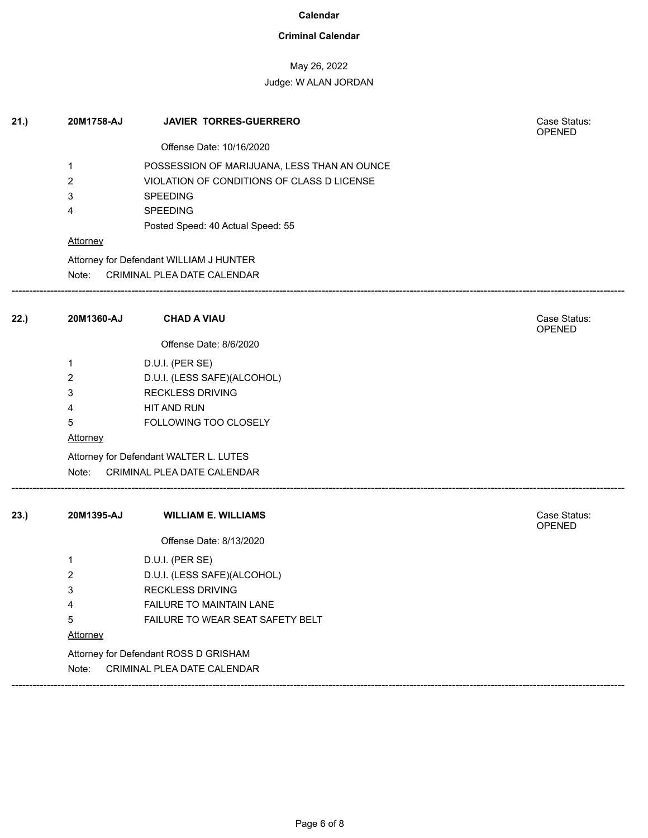## **Criminal Calendar**

# May 26, 2022

| 21.) | 20M1758-AJ      | <b>JAVIER TORRES-GUERRERO</b>               | Case Status:<br><b>OPENED</b> |
|------|-----------------|---------------------------------------------|-------------------------------|
|      |                 | Offense Date: 10/16/2020                    |                               |
|      | $\mathbf{1}$    | POSSESSION OF MARIJUANA, LESS THAN AN OUNCE |                               |
|      | $\overline{2}$  | VIOLATION OF CONDITIONS OF CLASS D LICENSE  |                               |
|      | 3               | <b>SPEEDING</b>                             |                               |
|      | 4               | <b>SPEEDING</b>                             |                               |
|      |                 | Posted Speed: 40 Actual Speed: 55           |                               |
|      | <b>Attorney</b> |                                             |                               |
|      |                 | Attorney for Defendant WILLIAM J HUNTER     |                               |
|      | Note:           | CRIMINAL PLEA DATE CALENDAR                 |                               |
| 22.) | 20M1360-AJ      | <b>CHAD A VIAU</b>                          | Case Status:<br><b>OPENED</b> |
|      |                 | Offense Date: 8/6/2020                      |                               |
|      | 1               | D.U.I. (PER SE)                             |                               |
|      | $\overline{2}$  | D.U.I. (LESS SAFE)(ALCOHOL)                 |                               |
|      | 3               | <b>RECKLESS DRIVING</b>                     |                               |
|      | 4               | HIT AND RUN                                 |                               |
|      | 5               | FOLLOWING TOO CLOSELY                       |                               |
|      | <b>Attorney</b> |                                             |                               |
|      |                 | Attorney for Defendant WALTER L. LUTES      |                               |
|      | Note:           | CRIMINAL PLEA DATE CALENDAR                 |                               |
| 23.) | 20M1395-AJ      | <b>WILLIAM E. WILLIAMS</b>                  | Case Status:<br>OPENED        |
|      |                 | Offense Date: 8/13/2020                     |                               |
|      | 1               | D.U.I. (PER SE)                             |                               |
|      | 2               | D.U.I. (LESS SAFE)(ALCOHOL)                 |                               |
|      | 3               | <b>RECKLESS DRIVING</b>                     |                               |
|      | 4               | FAILURE TO MAINTAIN LANE                    |                               |
|      | 5               | FAILURE TO WEAR SEAT SAFETY BELT            |                               |
|      | <b>Attorney</b> |                                             |                               |
|      |                 | Attorney for Defendant ROSS D GRISHAM       |                               |
|      | Note:           | CRIMINAL PLEA DATE CALENDAR                 |                               |
|      |                 |                                             |                               |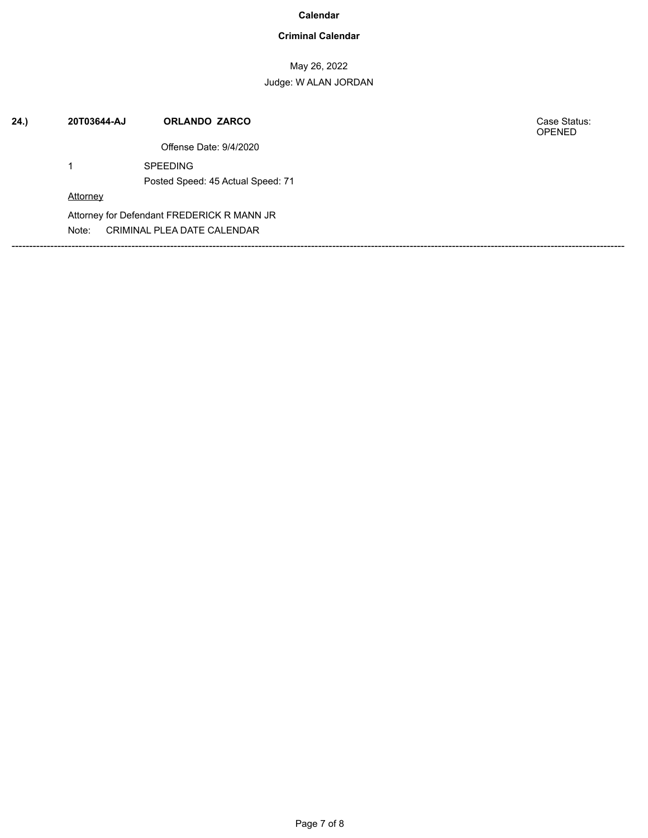## **Criminal Calendar**

May 26, 2022 Judge: W ALAN JORDAN

| 24. | 20T03644-AJ     | <b>ORLANDO ZARCO</b>                       | Case Status:<br><b>OPENED</b> |
|-----|-----------------|--------------------------------------------|-------------------------------|
|     |                 | Offense Date: 9/4/2020                     |                               |
|     |                 | <b>SPEEDING</b>                            |                               |
|     |                 | Posted Speed: 45 Actual Speed: 71          |                               |
|     | <b>Attorney</b> |                                            |                               |
|     |                 | Attorney for Defendant FREDERICK R MANN JR |                               |
|     | Note:           | CRIMINAL PLEA DATE CALENDAR                |                               |
|     |                 |                                            |                               |